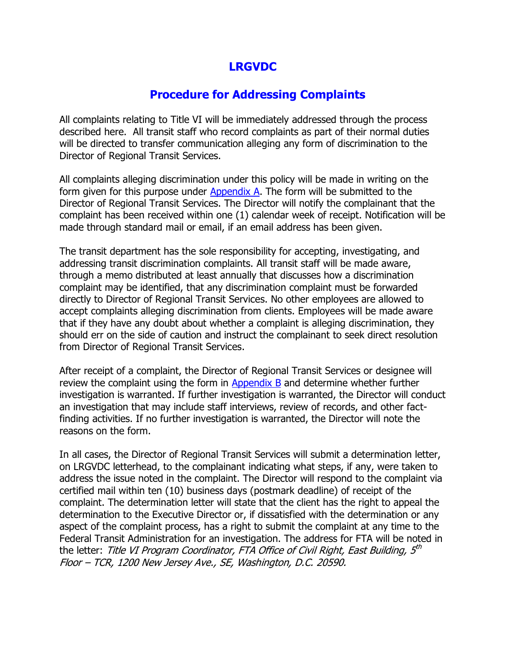## **LRGVDC**

## **Procedure for Addressing Complaints**

All complaints relating to Title VI will be immediately addressed through the process described here. All transit staff who record complaints as part of their normal duties will be directed to transfer communication alleging any form of discrimination to the Director of Regional Transit Services.

All complaints alleging discrimination under this policy will be made in writing on the form given for this purpose under Appendix A. The form will be submitted to the Director of Regional Transit Services. The Director will notify the complainant that the complaint has been received within one (1) calendar week of receipt. Notification will be made through standard mail or email, if an email address has been given.

The transit department has the sole responsibility for accepting, investigating, and addressing transit discrimination complaints. All transit staff will be made aware, through a memo distributed at least annually that discusses how a discrimination complaint may be identified, that any discrimination complaint must be forwarded directly to Director of Regional Transit Services. No other employees are allowed to accept complaints alleging discrimination from clients. Employees will be made aware that if they have any doubt about whether a complaint is alleging discrimination, they should err on the side of caution and instruct the complainant to seek direct resolution from Director of Regional Transit Services.

After receipt of a complaint, the Director of Regional Transit Services or designee will review the complaint using the form in Appendix  $B$  and determine whether further investigation is warranted. If further investigation is warranted, the Director will conduct an investigation that may include staff interviews, review of records, and other factfinding activities. If no further investigation is warranted, the Director will note the reasons on the form.

In all cases, the Director of Regional Transit Services will submit a determination letter, on LRGVDC letterhead, to the complainant indicating what steps, if any, were taken to address the issue noted in the complaint. The Director will respond to the complaint via certified mail within ten (10) business days (postmark deadline) of receipt of the complaint. The determination letter will state that the client has the right to appeal the determination to the Executive Director or, if dissatisfied with the determination or any aspect of the complaint process, has a right to submit the complaint at any time to the Federal Transit Administration for an investigation. The address for FTA will be noted in the letter: *Title VI Program Coordinator, FTA Office of Civil Right, East Building, 5<sup>th</sup>* Floor – TCR, 1200 New Jersey Ave., SE, Washington, D.C. 20590.